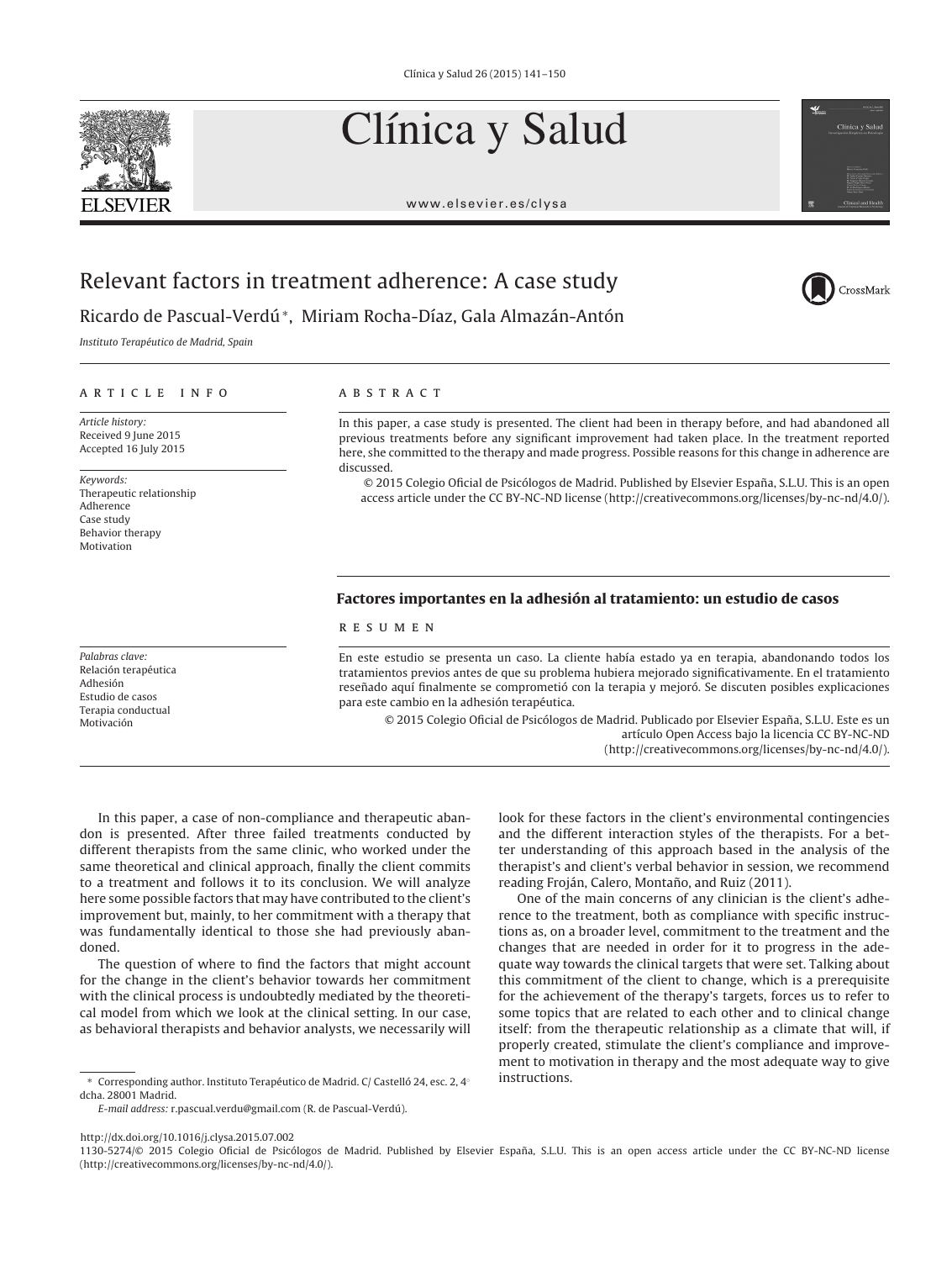# Clínica y Salud

www.elsevier.es/clysa



CrossMark

# Relevant factors in treatment adherence: A case study

Ricardo de Pascual-Verdú∗, Miriam Rocha-Díaz, Gala Almazán-Antón

Instituto Terapéutico de Madrid, Spain

#### article info

Article history: Received 9 June 2015 Accepted 16 July 2015

Keywords: Therapeutic relationship Adherence Case study Behavior therapy Motivation

Palabras clave: Relación terapéutica Adhesión Estudio de casos Terapia conductual Motivación

# **ARSTRACT**

In this paper, a case study is presented. The client had been in therapy before, and had abandoned all previous treatments before any significant improvement had taken place. In the treatment reported here, she committed to the therapy and made progress. Possible reasons for this change in adherence are discussed.

© 2015 Colegio Oficial de Psicólogos de Madrid. Published by Elsevier España, S.L.U. This is an open access article under the CC BY-NC-ND license (http://creativecommons.org/licenses/by-nc-nd/4.0/).

# **Factores importantes en la adhesión al tratamiento: un estudio de casos**

### resumen

En este estudio se presenta un caso. La cliente había estado ya en terapia, abandonando todos los tratamientos previos antes de que su problema hubiera mejorado significativamente. En el tratamiento reseñado aquí finalmente se comprometió con la terapia y mejoró. Se discuten posibles explicaciones para este cambio en la adhesión terapéutica.

© 2015 Colegio Oficial de Psicólogos de Madrid. Publicado por Elsevier España, S.L.U. Este es un artículo Open Access bajo la licencia CC BY-NC-ND (http://creativecommons.org/licenses/by-nc-nd/4.0/).

In this paper, a case of non-compliance and therapeutic abandon is presented. After three failed treatments conducted by different therapists from the same clinic, who worked under the same theoretical and clinical approach, finally the client commits to a treatment and follows it to its conclusion. We will analyze here some possible factors that may have contributed to the client's improvement but, mainly, to her commitment with a therapy that was fundamentally identical to those she had previously abandoned.

The question of where to find the factors that might account for the change in the client's behavior towards her commitment with the clinical process is undoubtedly mediated by the theoretical model from which we look at the clinical setting. In our case, as behavioral therapists and behavior analysts, we necessarily will

E-mail address: r.pascual.verdu@gmail.com (R. de Pascual-Verdú).

look for these factors in the client's environmental contingencies and the different interaction styles of the therapists. For a better understanding of this approach based in the analysis of the therapist's and client's verbal behavior in session, we recommend reading Froján, Calero, Montaño, and Ruiz (2011).

One of the main concerns of any clinician is the client's adherence to the treatment, both as compliance with specific instructions as, on a broader level, commitment to the treatment and the changes that are needed in order for it to progress in the adequate way towards the clinical targets that were set. Talking about this commitment of the client to change, which is a prerequisite for the achievement of the therapy's targets, forces us to refer to some topics that are related to each other and to clinical change itself: from the therapeutic relationship as a climate that will, if properly created, stimulate the client's compliance and improvement to motivation in therapy and the most adequate way to give instructions.



<sup>∗</sup> Corresponding author. Instituto Terapéutico de Madrid. C/ Castelló 24, esc. 2, 4◦ dcha. 28001 Madrid.

http://dx.doi.org/10.1016/j.clysa.2015.07.002

<sup>1130-5274/© 2015</sup> Colegio Oficial de Psicólogos de Madrid. Published by Elsevier España, S.L.U. This is an open access article under the CC BY-NC-ND license (http://creativecommons.org/licenses/by-nc-nd/4.0/).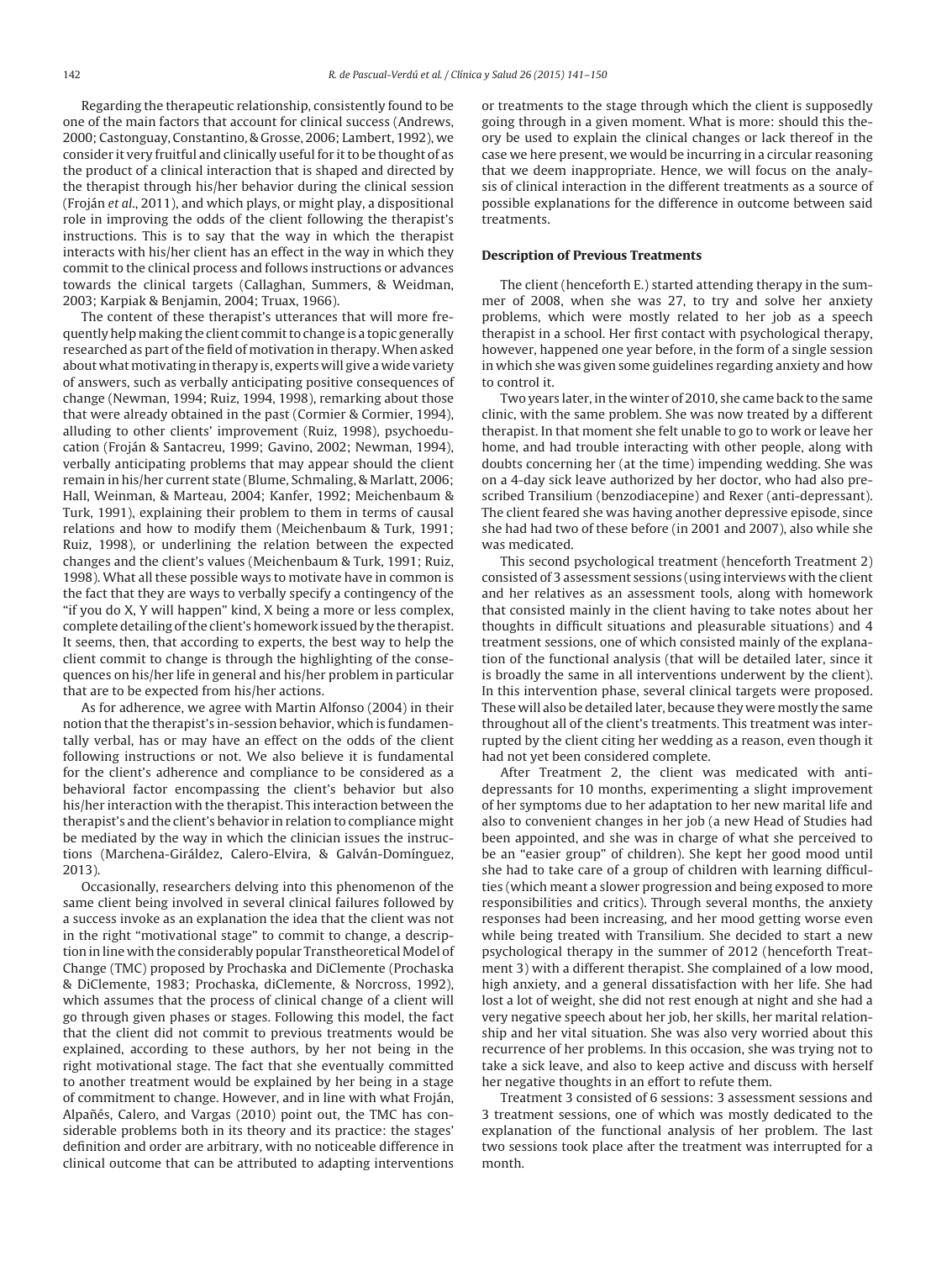Regarding the therapeutic relationship, consistently found to be one of the main factors that account for clinical success (Andrews, 2000; Castonguay, Constantino, & Grosse, 2006; Lambert, 1992), we consider it very fruitful and clinically useful for it to be thought of as the product of a clinical interaction that is shaped and directed by the therapist through his/her behavior during the clinical session (Froján et al., 2011), and which plays, or might play, a dispositional role in improving the odds of the client following the therapist's instructions. This is to say that the way in which the therapist interacts with his/her client has an effect in the way in which they commit to the clinical process and follows instructions or advances towards the clinical targets (Callaghan, Summers, & Weidman, 2003; Karpiak & Benjamin, 2004; Truax, 1966).

The content of these therapist's utterances that will more frequently helpmaking the client commit to change is a topic generally researched as part of the field of motivation in therapy.When asked about what motivating in therapy is, experts will give a wide variety of answers, such as verbally anticipating positive consequences of change (Newman, 1994; Ruiz, 1994, 1998), remarking about those that were already obtained in the past (Cormier & Cormier, 1994), alluding to other clients' improvement (Ruiz, 1998), psychoeducation (Froján & Santacreu, 1999; Gavino, 2002; Newman, 1994), verbally anticipating problems that may appear should the client remain in his/her current state (Blume, Schmaling, & Marlatt, 2006; Hall, Weinman, & Marteau, 2004; Kanfer, 1992; Meichenbaum & Turk, 1991), explaining their problem to them in terms of causal relations and how to modify them (Meichenbaum & Turk, 1991; Ruiz, 1998), or underlining the relation between the expected changes and the client's values (Meichenbaum & Turk, 1991; Ruiz, 1998). What all these possible ways to motivate have in common is the fact that they are ways to verbally specify a contingency of the "if you do X, Y will happen" kind, X being a more or less complex, complete detailing of the client's homework issued by the therapist. It seems, then, that according to experts, the best way to help the client commit to change is through the highlighting of the consequences on his/her life in general and his/her problem in particular that are to be expected from his/her actions.

As for adherence, we agree with Martin Alfonso (2004) in their notion that the therapist's in-session behavior, which is fundamentally verbal, has or may have an effect on the odds of the client following instructions or not. We also believe it is fundamental for the client's adherence and compliance to be considered as a behavioral factor encompassing the client's behavior but also his/her interaction with the therapist. This interaction between the therapist's and the client's behavior in relation to compliance might be mediated by the way in which the clinician issues the instructions (Marchena-Giráldez, Calero-Elvira, & Galván-Domínguez, 2013).

Occasionally, researchers delving into this phenomenon of the same client being involved in several clinical failures followed by a success invoke as an explanation the idea that the client was not in the right "motivational stage" to commit to change, a description in line with the considerably popular Transtheoretical Model of Change (TMC) proposed by Prochaska and DiClemente (Prochaska & DiClemente, 1983; Prochaska, diClemente, & Norcross, 1992), which assumes that the process of clinical change of a client will go through given phases or stages. Following this model, the fact that the client did not commit to previous treatments would be explained, according to these authors, by her not being in the right motivational stage. The fact that she eventually committed to another treatment would be explained by her being in a stage of commitment to change. However, and in line with what Froján, Alpañés, Calero, and Vargas (2010) point out, the TMC has considerable problems both in its theory and its practice: the stages' definition and order are arbitrary, with no noticeable difference in clinical outcome that can be attributed to adapting interventions

or treatments to the stage through which the client is supposedly going through in a given moment. What is more: should this theory be used to explain the clinical changes or lack thereof in the case we here present, we would be incurring in a circular reasoning that we deem inappropriate. Hence, we will focus on the analysis of clinical interaction in the different treatments as a source of possible explanations for the difference in outcome between said treatments.

#### **Description of Previous Treatments**

The client (henceforth E.) started attending therapy in the summer of 2008, when she was 27, to try and solve her anxiety problems, which were mostly related to her job as a speech therapist in a school. Her first contact with psychological therapy, however, happened one year before, in the form of a single session in which she was given some guidelines regarding anxiety and how to control it.

Two years later, in the winter of 2010, she came back to the same clinic, with the same problem. She was now treated by a different therapist. In that moment she felt unable to go to work or leave her home, and had trouble interacting with other people, along with doubts concerning her (at the time) impending wedding. She was on a 4-day sick leave authorized by her doctor, who had also prescribed Transilium (benzodiacepine) and Rexer (anti-depressant). The client feared she was having another depressive episode, since she had had two of these before (in 2001 and 2007), also while she was medicated.

This second psychological treatment (henceforth Treatment 2) consisted of 3 assessment sessions (using interviews with the client and her relatives as an assessment tools, along with homework that consisted mainly in the client having to take notes about her thoughts in difficult situations and pleasurable situations) and 4 treatment sessions, one of which consisted mainly of the explanation of the functional analysis (that will be detailed later, since it is broadly the same in all interventions underwent by the client). In this intervention phase, several clinical targets were proposed. These will also be detailed later, because they were mostly the same throughout all of the client's treatments. This treatment was interrupted by the client citing her wedding as a reason, even though it had not yet been considered complete.

After Treatment 2, the client was medicated with antidepressants for 10 months, experimenting a slight improvement of her symptoms due to her adaptation to her new marital life and also to convenient changes in her job (a new Head of Studies had been appointed, and she was in charge of what she perceived to be an "easier group" of children). She kept her good mood until she had to take care of a group of children with learning difficulties (which meant a slower progression and being exposed to more responsibilities and critics). Through several months, the anxiety responses had been increasing, and her mood getting worse even while being treated with Transilium. She decided to start a new psychological therapy in the summer of 2012 (henceforth Treatment 3) with a different therapist. She complained of a low mood, high anxiety, and a general dissatisfaction with her life. She had lost a lot of weight, she did not rest enough at night and she had a very negative speech about her job, her skills, her marital relationship and her vital situation. She was also very worried about this recurrence of her problems. In this occasion, she was trying not to take a sick leave, and also to keep active and discuss with herself her negative thoughts in an effort to refute them.

Treatment 3 consisted of 6 sessions: 3 assessment sessions and 3 treatment sessions, one of which was mostly dedicated to the explanation of the functional analysis of her problem. The last two sessions took place after the treatment was interrupted for a month.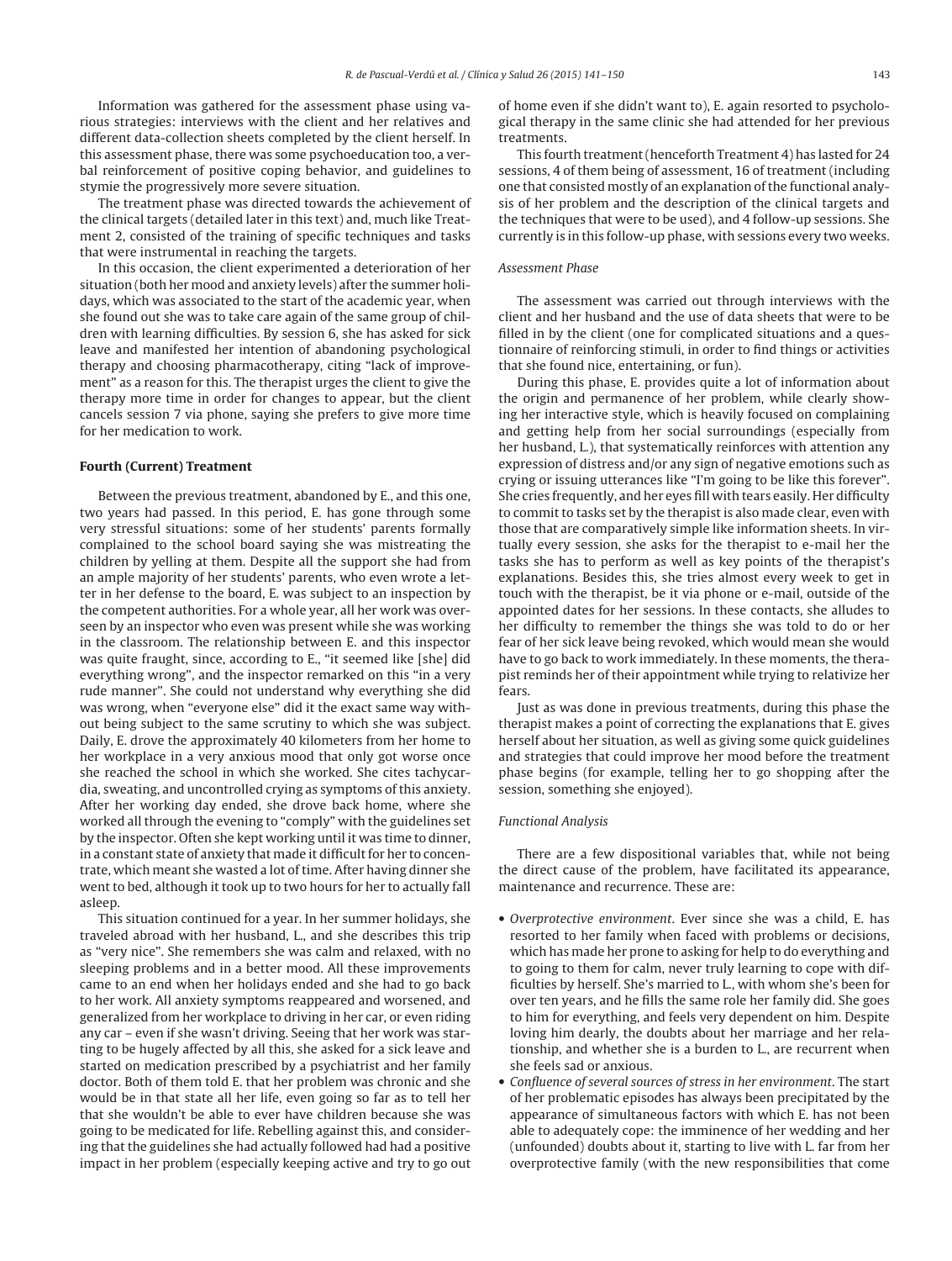Information was gathered for the assessment phase using various strategies: interviews with the client and her relatives and different data-collection sheets completed by the client herself. In this assessment phase, there was some psychoeducation too, a verbal reinforcement of positive coping behavior, and guidelines to stymie the progressively more severe situation.

The treatment phase was directed towards the achievement of the clinical targets (detailed later in this text) and, much like Treatment 2, consisted of the training of specific techniques and tasks that were instrumental in reaching the targets.

In this occasion, the client experimented a deterioration of her situation (both her mood and anxiety levels) after the summer holidays, which was associated to the start of the academic year, when she found out she was to take care again of the same group of children with learning difficulties. By session 6, she has asked for sick leave and manifested her intention of abandoning psychological therapy and choosing pharmacotherapy, citing "lack of improvement" as a reason for this. The therapist urges the client to give the therapy more time in order for changes to appear, but the client cancels session 7 via phone, saying she prefers to give more time for her medication to work.

#### **Fourth (Current) Treatment**

Between the previous treatment, abandoned by E., and this one, two years had passed. In this period, E. has gone through some very stressful situations: some of her students' parents formally complained to the school board saying she was mistreating the children by yelling at them. Despite all the support she had from an ample majority of her students' parents, who even wrote a letter in her defense to the board, E. was subject to an inspection by the competent authorities. For a whole year, all her work was overseen by an inspector who even was present while she was working in the classroom. The relationship between E. and this inspector was quite fraught, since, according to E., "it seemed like [she] did everything wrong", and the inspector remarked on this "in a very rude manner". She could not understand why everything she did was wrong, when "everyone else" did it the exact same way without being subject to the same scrutiny to which she was subject. Daily, E. drove the approximately 40 kilometers from her home to her workplace in a very anxious mood that only got worse once she reached the school in which she worked. She cites tachycardia, sweating, and uncontrolled crying as symptoms of this anxiety. After her working day ended, she drove back home, where she worked all through the evening to "comply" with the guidelines set by the inspector. Often she kept working until it was time to dinner, in a constant state of anxiety that made it difficult for her to concentrate, which meant she wasted a lot of time. After having dinner she went to bed, although it took up to two hours for her to actually fall asleep.

This situation continued for a year. In her summer holidays, she traveled abroad with her husband, L., and she describes this trip as "very nice". She remembers she was calm and relaxed, with no sleeping problems and in a better mood. All these improvements came to an end when her holidays ended and she had to go back to her work. All anxiety symptoms reappeared and worsened, and generalized from her workplace to driving in her car, or even riding any car – even if she wasn't driving. Seeing that her work was starting to be hugely affected by all this, she asked for a sick leave and started on medication prescribed by a psychiatrist and her family doctor. Both of them told E. that her problem was chronic and she would be in that state all her life, even going so far as to tell her that she wouldn't be able to ever have children because she was going to be medicated for life. Rebelling against this, and considering that the guidelines she had actually followed had had a positive impact in her problem (especially keeping active and try to go out of home even if she didn't want to), E. again resorted to psychological therapy in the same clinic she had attended for her previous treatments.

This fourth treatment (henceforth Treatment 4) has lasted for 24 sessions, 4 of them being of assessment, 16 of treatment (including one that consisted mostly of an explanation of the functional analysis of her problem and the description of the clinical targets and the techniques that were to be used), and 4 follow-up sessions. She currently is in this follow-up phase, with sessions every two weeks.

#### Assessment Phase

The assessment was carried out through interviews with the client and her husband and the use of data sheets that were to be filled in by the client (one for complicated situations and a questionnaire of reinforcing stimuli, in order to find things or activities that she found nice, entertaining, or fun).

During this phase, E. provides quite a lot of information about the origin and permanence of her problem, while clearly showing her interactive style, which is heavily focused on complaining and getting help from her social surroundings (especially from her husband, L.), that systematically reinforces with attention any expression of distress and/or any sign of negative emotions such as crying or issuing utterances like "I'm going to be like this forever". She cries frequently, and her eyes fill with tears easily. Her difficulty to commit to tasks set by the therapist is also made clear, even with those that are comparatively simple like information sheets. In virtually every session, she asks for the therapist to e-mail her the tasks she has to perform as well as key points of the therapist's explanations. Besides this, she tries almost every week to get in touch with the therapist, be it via phone or e-mail, outside of the appointed dates for her sessions. In these contacts, she alludes to her difficulty to remember the things she was told to do or her fear of her sick leave being revoked, which would mean she would have to go back to work immediately. In these moments, the therapist reminds her of their appointment while trying to relativize her fears.

Just as was done in previous treatments, during this phase the therapist makes a point of correcting the explanations that E. gives herself about her situation, as well as giving some quick guidelines and strategies that could improve her mood before the treatment phase begins (for example, telling her to go shopping after the session, something she enjoyed).

#### Functional Analysis

There are a few dispositional variables that, while not being the direct cause of the problem, have facilitated its appearance, maintenance and recurrence. These are:

- Overprotective environment. Ever since she was a child, E. has resorted to her family when faced with problems or decisions, which has made her prone to asking for help to do everything and to going to them for calm, never truly learning to cope with difficulties by herself. She's married to L., with whom she's been for over ten years, and he fills the same role her family did. She goes to him for everything, and feels very dependent on him. Despite loving him dearly, the doubts about her marriage and her relationship, and whether she is a burden to L., are recurrent when she feels sad or anxious.
- Confluence of several sources of stress in her environment. The start of her problematic episodes has always been precipitated by the appearance of simultaneous factors with which E. has not been able to adequately cope: the imminence of her wedding and her (unfounded) doubts about it, starting to live with L. far from her overprotective family (with the new responsibilities that come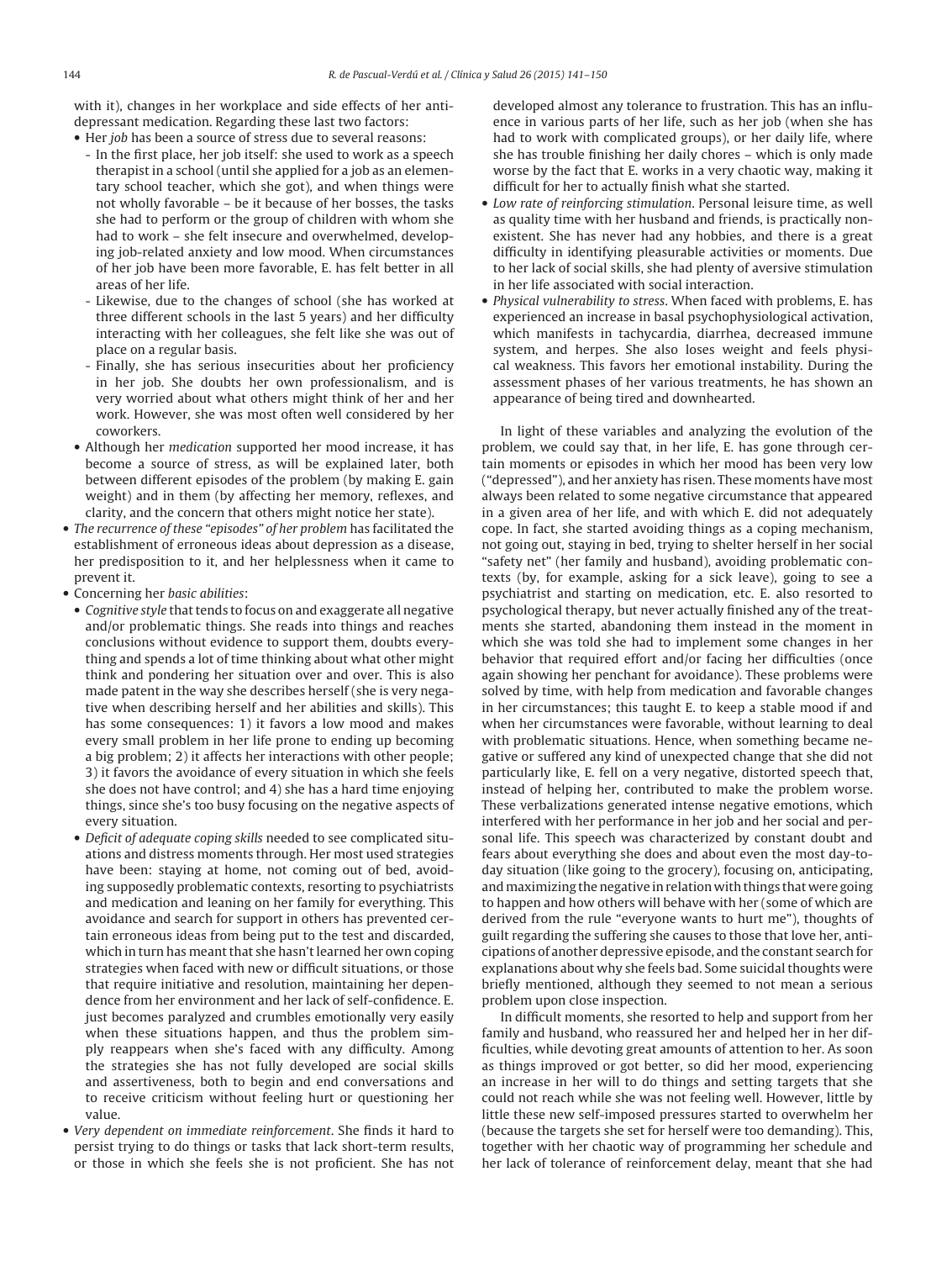with it), changes in her workplace and side effects of her antidepressant medication. Regarding these last two factors: • Her job has been a source of stress due to several reasons:

- In the first place, her job itself: she used to work as a speech therapist in a school (until she applied for a job as an elementary school teacher, which she got), and when things were not wholly favorable – be it because of her bosses, the tasks she had to perform or the group of children with whom she had to work – she felt insecure and overwhelmed, developing job-related anxiety and low mood. When circumstances of her job have been more favorable, E. has felt better in all areas of her life.
- Likewise, due to the changes of school (she has worked at three different schools in the last 5 years) and her difficulty interacting with her colleagues, she felt like she was out of place on a regular basis.
- Finally, she has serious insecurities about her proficiency in her job. She doubts her own professionalism, and is very worried about what others might think of her and her work. However, she was most often well considered by her coworkers.
- Although her medication supported her mood increase, it has become a source of stress, as will be explained later, both between different episodes of the problem (by making E. gain weight) and in them (by affecting her memory, reflexes, and clarity, and the concern that others might notice her state).
- The recurrence of these "episodes" of her problem has facilitated the establishment of erroneous ideas about depression as a disease, her predisposition to it, and her helplessness when it came to prevent it.
- Concerning her basic abilities:
	- Cognitive style that tends to focus on and exaggerate all negative and/or problematic things. She reads into things and reaches conclusions without evidence to support them, doubts everything and spends a lot of time thinking about what other might think and pondering her situation over and over. This is also made patent in the way she describes herself (she is very negative when describing herself and her abilities and skills). This has some consequences: 1) it favors a low mood and makes every small problem in her life prone to ending up becoming a big problem; 2) it affects her interactions with other people; 3) it favors the avoidance of every situation in which she feels she does not have control; and 4) she has a hard time enjoying things, since she's too busy focusing on the negative aspects of every situation.
	- Deficit of adequate coping skills needed to see complicated situations and distress moments through. Her most used strategies have been: staying at home, not coming out of bed, avoiding supposedly problematic contexts, resorting to psychiatrists and medication and leaning on her family for everything. This avoidance and search for support in others has prevented certain erroneous ideas from being put to the test and discarded, which in turn has meant that she hasn't learned her own coping strategies when faced with new or difficult situations, or those that require initiative and resolution, maintaining her dependence from her environment and her lack of self-confidence. E. just becomes paralyzed and crumbles emotionally very easily when these situations happen, and thus the problem simply reappears when she's faced with any difficulty. Among the strategies she has not fully developed are social skills and assertiveness, both to begin and end conversations and to receive criticism without feeling hurt or questioning her value.
- Very dependent on immediate reinforcement. She finds it hard to persist trying to do things or tasks that lack short-term results, or those in which she feels she is not proficient. She has not

developed almost any tolerance to frustration. This has an influence in various parts of her life, such as her job (when she has had to work with complicated groups), or her daily life, where she has trouble finishing her daily chores – which is only made worse by the fact that E. works in a very chaotic way, making it difficult for her to actually finish what she started.

- Low rate of reinforcing stimulation. Personal leisure time, as well as quality time with her husband and friends, is practically nonexistent. She has never had any hobbies, and there is a great difficulty in identifying pleasurable activities or moments. Due to her lack of social skills, she had plenty of aversive stimulation in her life associated with social interaction.
- Physical vulnerability to stress. When faced with problems, E. has experienced an increase in basal psychophysiological activation, which manifests in tachycardia, diarrhea, decreased immune system, and herpes. She also loses weight and feels physical weakness. This favors her emotional instability. During the assessment phases of her various treatments, he has shown an appearance of being tired and downhearted.

In light of these variables and analyzing the evolution of the problem, we could say that, in her life, E. has gone through certain moments or episodes in which her mood has been very low ("depressed"), and her anxiety has risen. These moments have most always been related to some negative circumstance that appeared in a given area of her life, and with which E. did not adequately cope. In fact, she started avoiding things as a coping mechanism, not going out, staying in bed, trying to shelter herself in her social "safety net" (her family and husband), avoiding problematic contexts (by, for example, asking for a sick leave), going to see a psychiatrist and starting on medication, etc. E. also resorted to psychological therapy, but never actually finished any of the treatments she started, abandoning them instead in the moment in which she was told she had to implement some changes in her behavior that required effort and/or facing her difficulties (once again showing her penchant for avoidance). These problems were solved by time, with help from medication and favorable changes in her circumstances; this taught E. to keep a stable mood if and when her circumstances were favorable, without learning to deal with problematic situations. Hence, when something became negative or suffered any kind of unexpected change that she did not particularly like, E. fell on a very negative, distorted speech that, instead of helping her, contributed to make the problem worse. These verbalizations generated intense negative emotions, which interfered with her performance in her job and her social and personal life. This speech was characterized by constant doubt and fears about everything she does and about even the most day-today situation (like going to the grocery), focusing on, anticipating, and maximizing the negative in relation with things that were going to happen and how others will behave with her (some of which are derived from the rule "everyone wants to hurt me"), thoughts of guilt regarding the suffering she causes to those that love her, anticipations of another depressive episode, and the constant search for explanations about why she feels bad. Some suicidal thoughts were briefly mentioned, although they seemed to not mean a serious problem upon close inspection.

In difficult moments, she resorted to help and support from her family and husband, who reassured her and helped her in her difficulties, while devoting great amounts of attention to her. As soon as things improved or got better, so did her mood, experiencing an increase in her will to do things and setting targets that she could not reach while she was not feeling well. However, little by little these new self-imposed pressures started to overwhelm her (because the targets she set for herself were too demanding). This, together with her chaotic way of programming her schedule and her lack of tolerance of reinforcement delay, meant that she had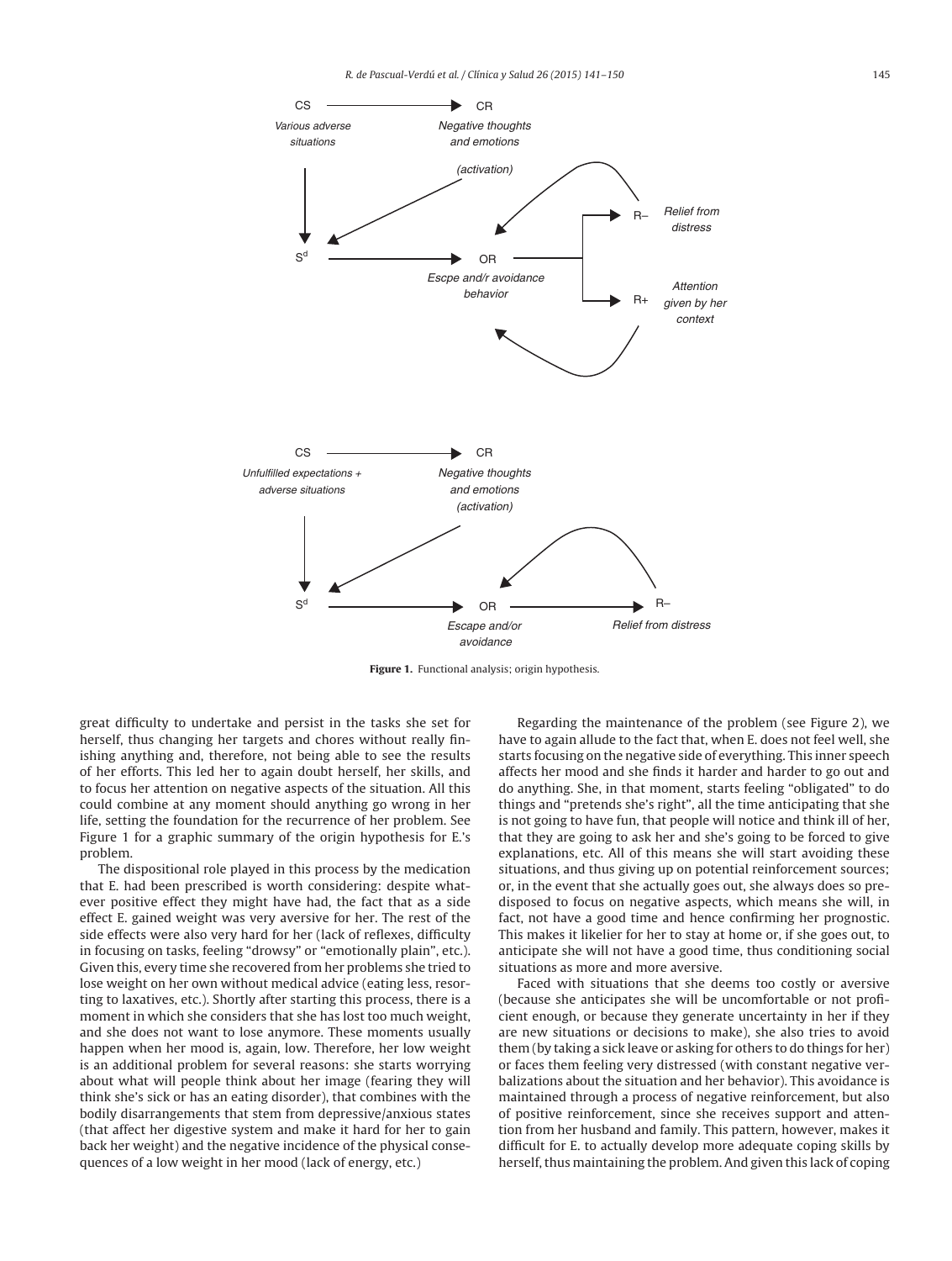

**Figure 1.** Functional analysis; origin hypothesis.

great difficulty to undertake and persist in the tasks she set for herself, thus changing her targets and chores without really finishing anything and, therefore, not being able to see the results of her efforts. This led her to again doubt herself, her skills, and to focus her attention on negative aspects of the situation. All this could combine at any moment should anything go wrong in her life, setting the foundation for the recurrence of her problem. See Figure 1 for a graphic summary of the origin hypothesis for E.'s problem.

The dispositional role played in this process by the medication that E. had been prescribed is worth considering: despite whatever positive effect they might have had, the fact that as a side effect E. gained weight was very aversive for her. The rest of the side effects were also very hard for her (lack of reflexes, difficulty in focusing on tasks, feeling "drowsy" or "emotionally plain", etc.). Given this, every time she recovered from her problems she tried to lose weight on her own without medical advice (eating less, resorting to laxatives, etc.). Shortly after starting this process, there is a moment in which she considers that she has lost too much weight, and she does not want to lose anymore. These moments usually happen when her mood is, again, low. Therefore, her low weight is an additional problem for several reasons: she starts worrying about what will people think about her image (fearing they will think she's sick or has an eating disorder), that combines with the bodily disarrangements that stem from depressive/anxious states (that affect her digestive system and make it hard for her to gain back her weight) and the negative incidence of the physical consequences of a low weight in her mood (lack of energy, etc.)

Regarding the maintenance of the problem (see Figure 2), we have to again allude to the fact that, when E. does not feel well, she starts focusing on the negative side of everything. This inner speech affects her mood and she finds it harder and harder to go out and do anything. She, in that moment, starts feeling "obligated" to do things and "pretends she's right", all the time anticipating that she is not going to have fun, that people will notice and think ill of her, that they are going to ask her and she's going to be forced to give explanations, etc. All of this means she will start avoiding these situations, and thus giving up on potential reinforcement sources; or, in the event that she actually goes out, she always does so predisposed to focus on negative aspects, which means she will, in fact, not have a good time and hence confirming her prognostic. This makes it likelier for her to stay at home or, if she goes out, to anticipate she will not have a good time, thus conditioning social situations as more and more aversive.

Faced with situations that she deems too costly or aversive (because she anticipates she will be uncomfortable or not proficient enough, or because they generate uncertainty in her if they are new situations or decisions to make), she also tries to avoid them (by taking a sick leave or asking for others to do things for her) or faces them feeling very distressed (with constant negative verbalizations about the situation and her behavior). This avoidance is maintained through a process of negative reinforcement, but also of positive reinforcement, since she receives support and attention from her husband and family. This pattern, however, makes it difficult for E. to actually develop more adequate coping skills by herself, thus maintaining the problem. And given this lack of coping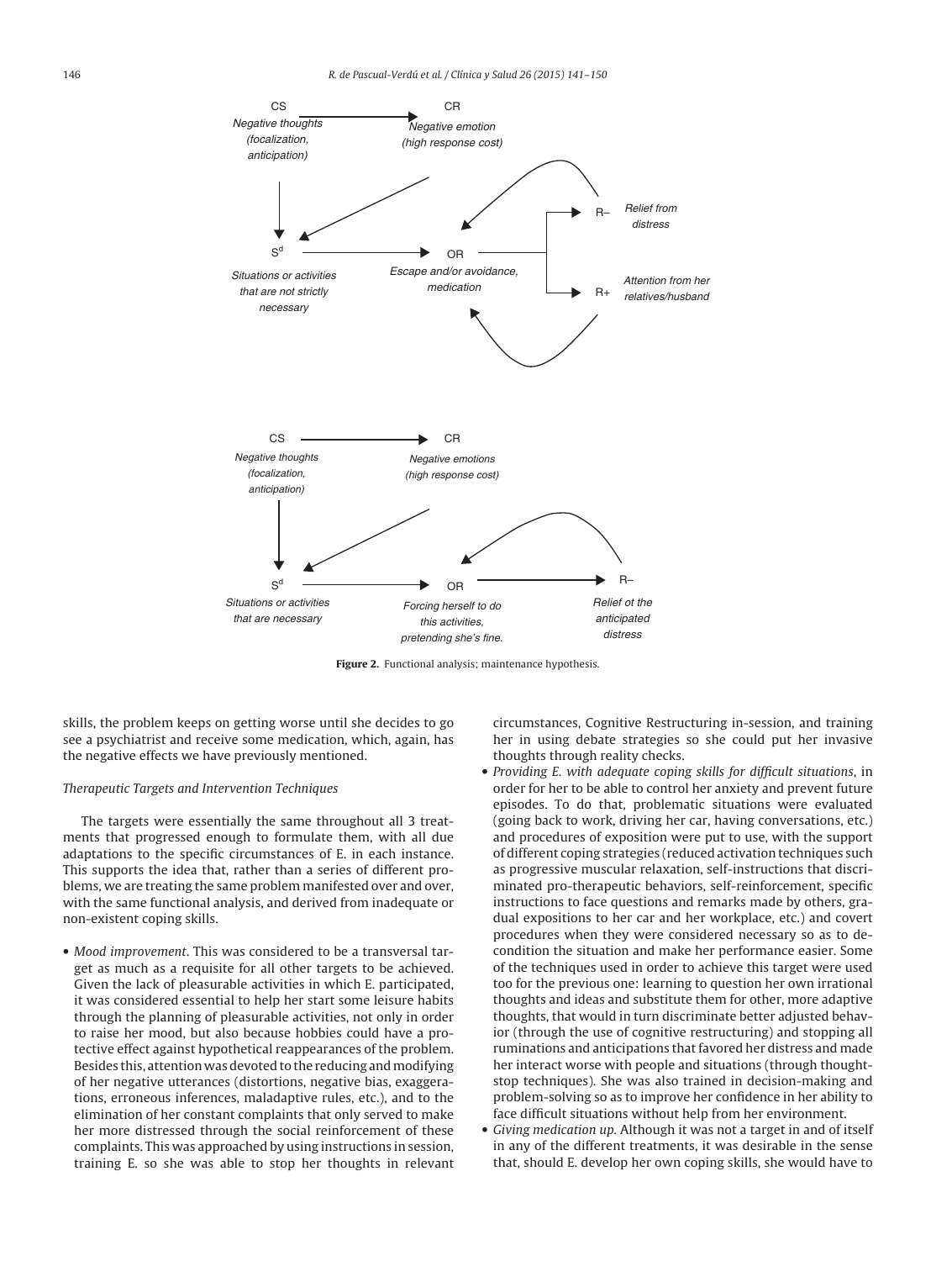

**Figure 2.** Functional analysis; maintenance hypothesis.

skills, the problem keeps on getting worse until she decides to go see a psychiatrist and receive some medication, which, again, has the negative effects we have previously mentioned.

#### Therapeutic Targets and Intervention Techniques

The targets were essentially the same throughout all 3 treatments that progressed enough to formulate them, with all due adaptations to the specific circumstances of E. in each instance. This supports the idea that, rather than a series of different problems, we are treating the same problem manifested over and over, with the same functional analysis, and derived from inadequate or non-existent coping skills.

• Mood improvement. This was considered to be a transversal target as much as a requisite for all other targets to be achieved. Given the lack of pleasurable activities in which E. participated, it was considered essential to help her start some leisure habits through the planning of pleasurable activities, not only in order to raise her mood, but also because hobbies could have a protective effect against hypothetical reappearances of the problem. Besides this, attention was devoted to the reducing and modifying of her negative utterances (distortions, negative bias, exaggerations, erroneous inferences, maladaptive rules, etc.), and to the elimination of her constant complaints that only served to make her more distressed through the social reinforcement of these complaints. This was approached by using instructions in session, training E. so she was able to stop her thoughts in relevant circumstances, Cognitive Restructuring in-session, and training her in using debate strategies so she could put her invasive thoughts through reality checks.

- Providing E. with adequate coping skills for difficult situations, in order for her to be able to control her anxiety and prevent future episodes. To do that, problematic situations were evaluated (going back to work, driving her car, having conversations, etc.) and procedures of exposition were put to use, with the support of different coping strategies (reduced activation techniques such as progressive muscular relaxation, self-instructions that discriminated pro-therapeutic behaviors, self-reinforcement, specific instructions to face questions and remarks made by others, gradual expositions to her car and her workplace, etc.) and covert procedures when they were considered necessary so as to decondition the situation and make her performance easier. Some of the techniques used in order to achieve this target were used too for the previous one: learning to question her own irrational thoughts and ideas and substitute them for other, more adaptive thoughts, that would in turn discriminate better adjusted behavior (through the use of cognitive restructuring) and stopping all ruminations and anticipations that favored her distress and made her interact worse with people and situations (through thoughtstop techniques). She was also trained in decision-making and problem-solving so as to improve her confidence in her ability to face difficult situations without help from her environment.
- Giving medication up. Although it was not a target in and of itself in any of the different treatments, it was desirable in the sense that, should E. develop her own coping skills, she would have to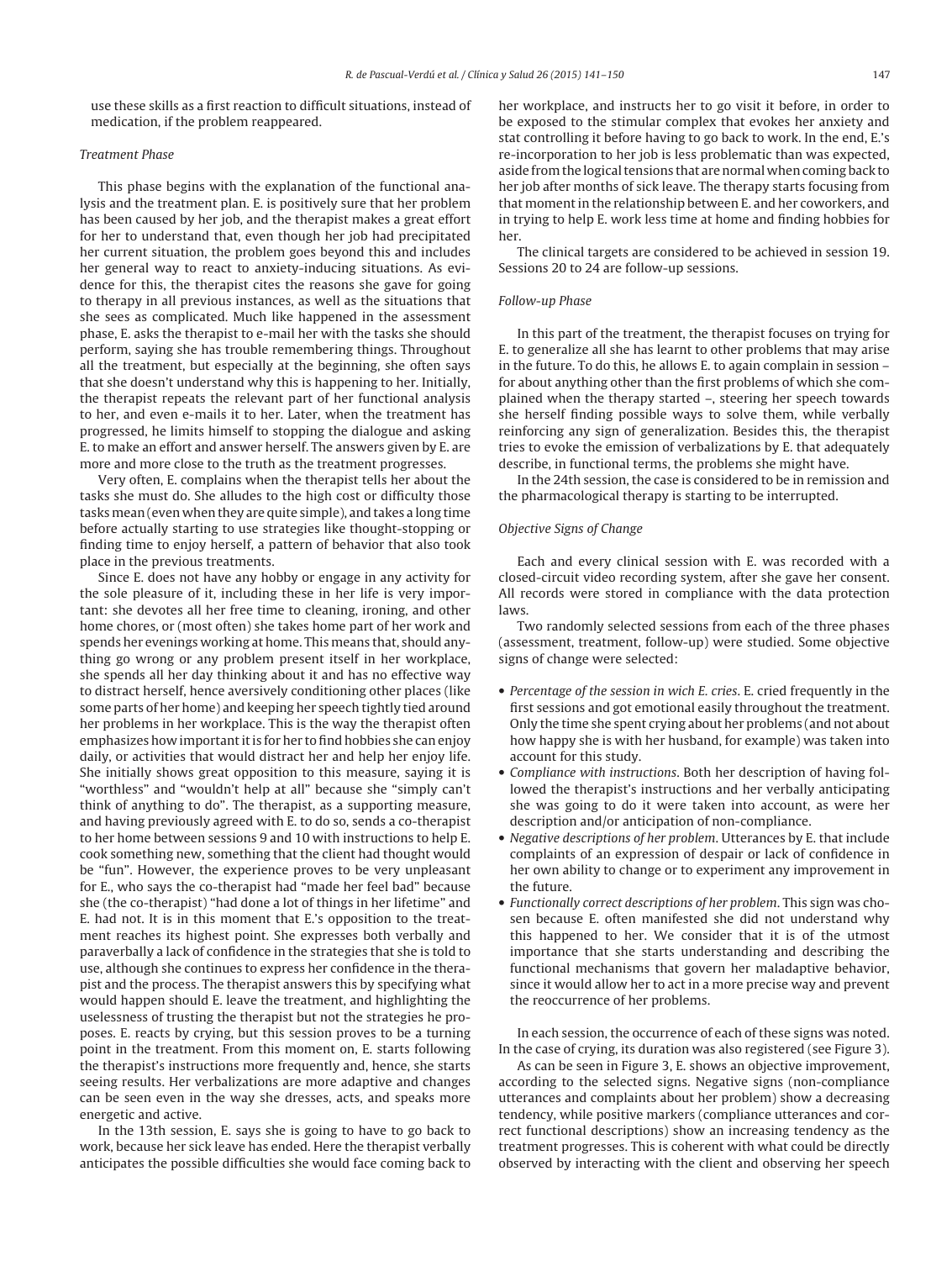use these skills as a first reaction to difficult situations, instead of medication, if the problem reappeared.

#### Treatment Phase

This phase begins with the explanation of the functional analysis and the treatment plan. E. is positively sure that her problem has been caused by her job, and the therapist makes a great effort for her to understand that, even though her job had precipitated her current situation, the problem goes beyond this and includes her general way to react to anxiety-inducing situations. As evidence for this, the therapist cites the reasons she gave for going to therapy in all previous instances, as well as the situations that she sees as complicated. Much like happened in the assessment phase, E. asks the therapist to e-mail her with the tasks she should perform, saying she has trouble remembering things. Throughout all the treatment, but especially at the beginning, she often says that she doesn't understand why this is happening to her. Initially, the therapist repeats the relevant part of her functional analysis to her, and even e-mails it to her. Later, when the treatment has progressed, he limits himself to stopping the dialogue and asking E. to make an effort and answer herself. The answers given by E. are more and more close to the truth as the treatment progresses.

Very often, E. complains when the therapist tells her about the tasks she must do. She alludes to the high cost or difficulty those tasks mean (even when they are quite simple), and takes a long time before actually starting to use strategies like thought-stopping or finding time to enjoy herself, a pattern of behavior that also took place in the previous treatments.

Since E. does not have any hobby or engage in any activity for the sole pleasure of it, including these in her life is very important: she devotes all her free time to cleaning, ironing, and other home chores, or (most often) she takes home part of her work and spends her evenings working at home. This means that, should anything go wrong or any problem present itself in her workplace, she spends all her day thinking about it and has no effective way to distract herself, hence aversively conditioning other places (like some parts of her home) and keeping her speech tightly tied around her problems in her workplace. This is the way the therapist often emphasizes how important it is for her to find hobbies she can enjoy daily, or activities that would distract her and help her enjoy life. She initially shows great opposition to this measure, saying it is "worthless" and "wouldn't help at all" because she "simply can't think of anything to do". The therapist, as a supporting measure, and having previously agreed with E. to do so, sends a co-therapist to her home between sessions 9 and 10 with instructions to help E. cook something new, something that the client had thought would be "fun". However, the experience proves to be very unpleasant for E., who says the co-therapist had "made her feel bad" because she (the co-therapist) "had done a lot of things in her lifetime" and E. had not. It is in this moment that E.'s opposition to the treatment reaches its highest point. She expresses both verbally and paraverbally a lack of confidence in the strategies that she is told to use, although she continues to express her confidence in the therapist and the process. The therapist answers this by specifying what would happen should E. leave the treatment, and highlighting the uselessness of trusting the therapist but not the strategies he proposes. E. reacts by crying, but this session proves to be a turning point in the treatment. From this moment on, E. starts following the therapist's instructions more frequently and, hence, she starts seeing results. Her verbalizations are more adaptive and changes can be seen even in the way she dresses, acts, and speaks more energetic and active.

In the 13th session, E. says she is going to have to go back to work, because her sick leave has ended. Here the therapist verbally anticipates the possible difficulties she would face coming back to her workplace, and instructs her to go visit it before, in order to be exposed to the stimular complex that evokes her anxiety and stat controlling it before having to go back to work. In the end, E.'s re-incorporation to her job is less problematic than was expected, aside from the logical tensions that are normal when coming back to her job after months of sick leave. The therapy starts focusing from that moment in the relationship between E. and her coworkers, and in trying to help E. work less time at home and finding hobbies for her.

The clinical targets are considered to be achieved in session 19. Sessions 20 to 24 are follow-up sessions.

#### Follow-up Phase

In this part of the treatment, the therapist focuses on trying for E. to generalize all she has learnt to other problems that may arise in the future. To do this, he allows E. to again complain in session – for about anything other than the first problems of which she complained when the therapy started –, steering her speech towards she herself finding possible ways to solve them, while verbally reinforcing any sign of generalization. Besides this, the therapist tries to evoke the emission of verbalizations by E. that adequately describe, in functional terms, the problems she might have.

In the 24th session, the case is considered to be in remission and the pharmacological therapy is starting to be interrupted.

#### Objective Signs of Change

Each and every clinical session with E. was recorded with a closed-circuit video recording system, after she gave her consent. All records were stored in compliance with the data protection laws.

Two randomly selected sessions from each of the three phases (assessment, treatment, follow-up) were studied. Some objective signs of change were selected:

- Percentage of the session in wich E. cries. E. cried frequently in the first sessions and got emotional easily throughout the treatment. Only the time she spent crying about her problems (and not about how happy she is with her husband, for example) was taken into account for this study.
- Compliance with instructions. Both her description of having followed the therapist's instructions and her verbally anticipating she was going to do it were taken into account, as were her description and/or anticipation of non-compliance.
- Negative descriptions of her problem. Utterances by E. that include complaints of an expression of despair or lack of confidence in her own ability to change or to experiment any improvement in the future.
- Functionally correct descriptions of her problem. This sign was chosen because E. often manifested she did not understand why this happened to her. We consider that it is of the utmost importance that she starts understanding and describing the functional mechanisms that govern her maladaptive behavior, since it would allow her to act in a more precise way and prevent the reoccurrence of her problems.

In each session, the occurrence of each of these signs was noted. In the case of crying, its duration was also registered (see Figure 3).

As can be seen in Figure 3, E. shows an objective improvement, according to the selected signs. Negative signs (non-compliance utterances and complaints about her problem) show a decreasing tendency, while positive markers (compliance utterances and correct functional descriptions) show an increasing tendency as the treatment progresses. This is coherent with what could be directly observed by interacting with the client and observing her speech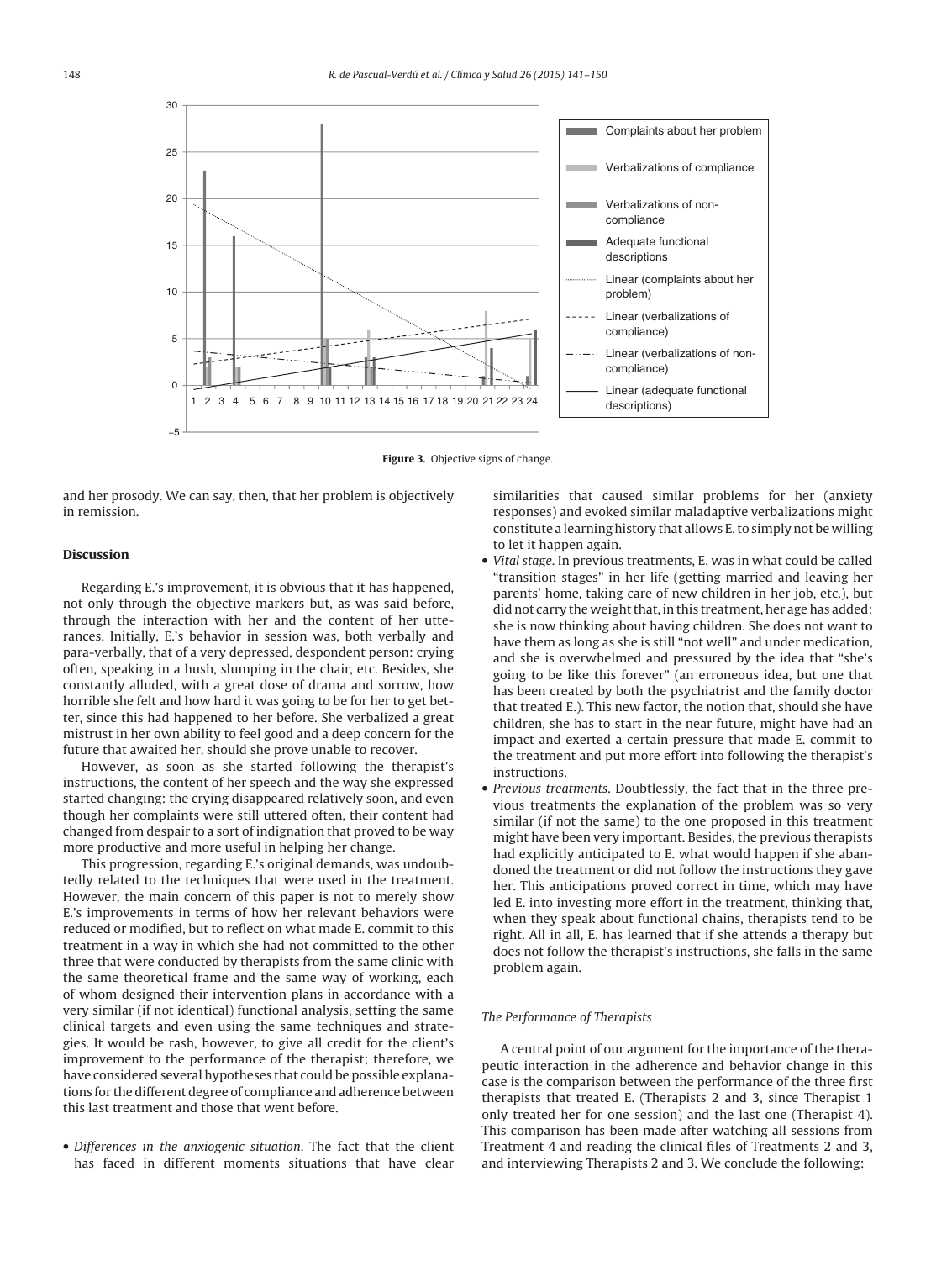

**Figure 3.** Objective signs of change.

and her prosody. We can say, then, that her problem is objectively in remission.

#### **Discussion**

Regarding E.'s improvement, it is obvious that it has happened, not only through the objective markers but, as was said before, through the interaction with her and the content of her utterances. Initially, E.'s behavior in session was, both verbally and para-verbally, that of a very depressed, despondent person: crying often, speaking in a hush, slumping in the chair, etc. Besides, she constantly alluded, with a great dose of drama and sorrow, how horrible she felt and how hard it was going to be for her to get better, since this had happened to her before. She verbalized a great mistrust in her own ability to feel good and a deep concern for the future that awaited her, should she prove unable to recover.

However, as soon as she started following the therapist's instructions, the content of her speech and the way she expressed started changing: the crying disappeared relatively soon, and even though her complaints were still uttered often, their content had changed from despair to a sort of indignation that proved to be way more productive and more useful in helping her change.

This progression, regarding E.'s original demands, was undoubtedly related to the techniques that were used in the treatment. However, the main concern of this paper is not to merely show E.'s improvements in terms of how her relevant behaviors were reduced or modified, but to reflect on what made E. commit to this treatment in a way in which she had not committed to the other three that were conducted by therapists from the same clinic with the same theoretical frame and the same way of working, each of whom designed their intervention plans in accordance with a very similar (if not identical) functional analysis, setting the same clinical targets and even using the same techniques and strategies. It would be rash, however, to give all credit for the client's improvement to the performance of the therapist; therefore, we have considered several hypotheses that could be possible explanations for the different degree of compliance and adherence between this last treatment and those that went before.

• Differences in the anxiogenic situation. The fact that the client has faced in different moments situations that have clear similarities that caused similar problems for her (anxiety responses) and evoked similar maladaptive verbalizations might constitute a learning history that allows E. to simply not be willing to let it happen again.

- Vital stage. In previous treatments, E. was in what could be called "transition stages" in her life (getting married and leaving her parents' home, taking care of new children in her job, etc.), but did not carry the weight that, in this treatment, her age has added: she is now thinking about having children. She does not want to have them as long as she is still "not well" and under medication, and she is overwhelmed and pressured by the idea that "she's going to be like this forever" (an erroneous idea, but one that has been created by both the psychiatrist and the family doctor that treated E.). This new factor, the notion that, should she have children, she has to start in the near future, might have had an impact and exerted a certain pressure that made E. commit to the treatment and put more effort into following the therapist's instructions.
- Previous treatments. Doubtlessly, the fact that in the three previous treatments the explanation of the problem was so very similar (if not the same) to the one proposed in this treatment might have been very important. Besides, the previous therapists had explicitly anticipated to E. what would happen if she abandoned the treatment or did not follow the instructions they gave her. This anticipations proved correct in time, which may have led E. into investing more effort in the treatment, thinking that, when they speak about functional chains, therapists tend to be right. All in all, E. has learned that if she attends a therapy but does not follow the therapist's instructions, she falls in the same problem again.

#### The Performance of Therapists

A central point of our argument for the importance of the therapeutic interaction in the adherence and behavior change in this case is the comparison between the performance of the three first therapists that treated E. (Therapists 2 and 3, since Therapist 1 only treated her for one session) and the last one (Therapist 4). This comparison has been made after watching all sessions from Treatment 4 and reading the clinical files of Treatments 2 and 3, and interviewing Therapists 2 and 3. We conclude the following: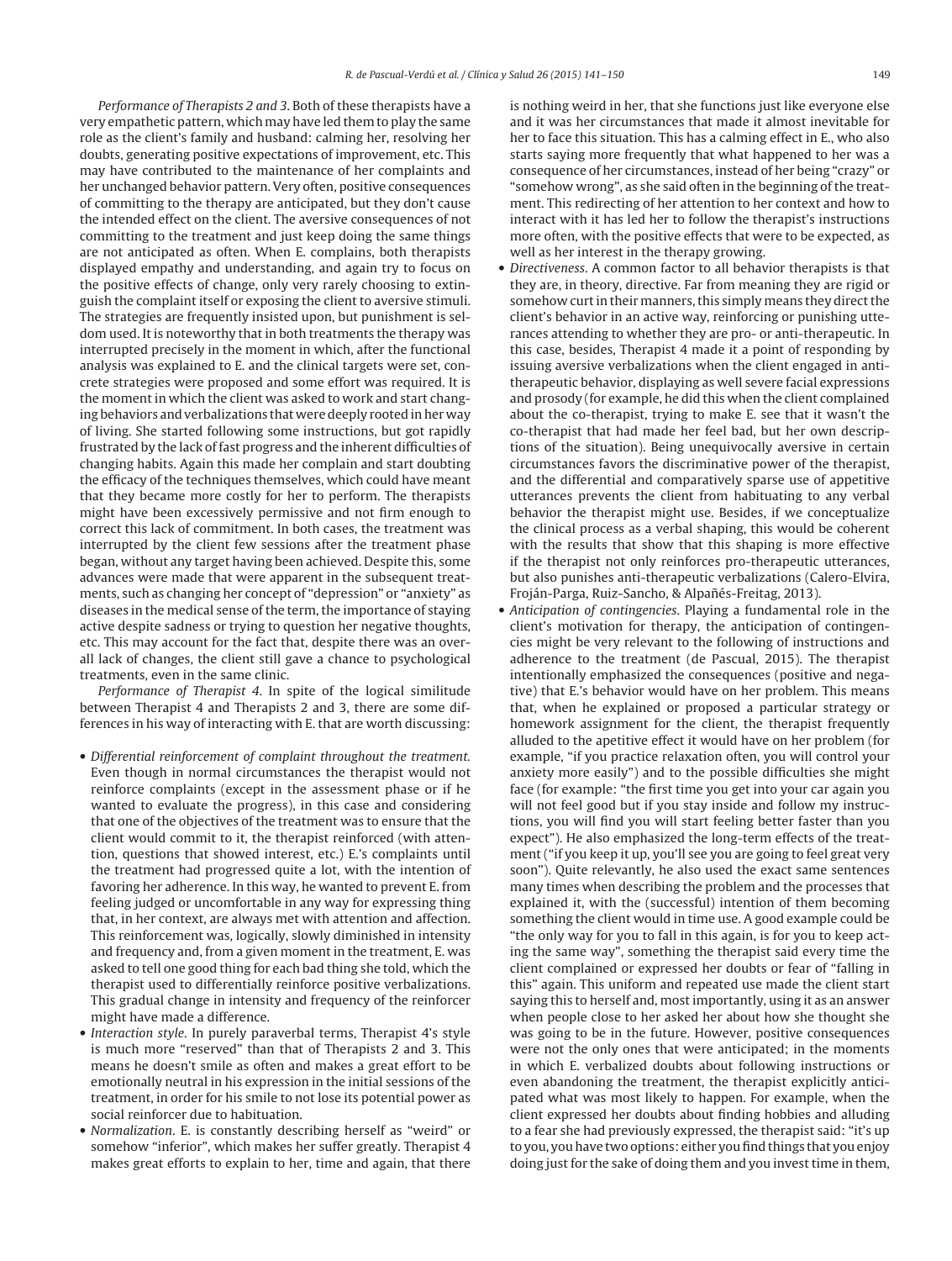Performance of Therapists 2 and 3. Both of these therapists have a very empathetic pattern, which may have led them to play the same role as the client's family and husband: calming her, resolving her doubts, generating positive expectations of improvement, etc. This may have contributed to the maintenance of her complaints and her unchanged behavior pattern. Very often, positive consequences of committing to the therapy are anticipated, but they don't cause the intended effect on the client. The aversive consequences of not committing to the treatment and just keep doing the same things are not anticipated as often. When E. complains, both therapists displayed empathy and understanding, and again try to focus on the positive effects of change, only very rarely choosing to extinguish the complaint itself or exposing the client to aversive stimuli. The strategies are frequently insisted upon, but punishment is seldom used. It is noteworthy that in both treatments the therapy was interrupted precisely in the moment in which, after the functional analysis was explained to E. and the clinical targets were set, concrete strategies were proposed and some effort was required. It is the moment in which the client was asked to work and start changing behaviors and verbalizations that were deeply rooted in her way of living. She started following some instructions, but got rapidly frustrated by the lack of fast progress and the inherent difficulties of changing habits. Again this made her complain and start doubting the efficacy of the techniques themselves, which could have meant that they became more costly for her to perform. The therapists might have been excessively permissive and not firm enough to correct this lack of commitment. In both cases, the treatment was interrupted by the client few sessions after the treatment phase began, without any target having been achieved. Despite this, some advances were made that were apparent in the subsequent treatments, such as changing her concept of "depression" or "anxiety" as diseases in the medical sense of the term, the importance of staying active despite sadness or trying to question her negative thoughts, etc. This may account for the fact that, despite there was an overall lack of changes, the client still gave a chance to psychological treatments, even in the same clinic.

Performance of Therapist 4. In spite of the logical similitude between Therapist 4 and Therapists 2 and 3, there are some differences in his way of interacting with E. that are worth discussing:

- Differential reinforcement of complaint throughout the treatment. Even though in normal circumstances the therapist would not reinforce complaints (except in the assessment phase or if he wanted to evaluate the progress), in this case and considering that one of the objectives of the treatment was to ensure that the client would commit to it, the therapist reinforced (with attention, questions that showed interest, etc.) E.'s complaints until the treatment had progressed quite a lot, with the intention of favoring her adherence. In this way, he wanted to prevent E. from feeling judged or uncomfortable in any way for expressing thing that, in her context, are always met with attention and affection. This reinforcement was, logically, slowly diminished in intensity and frequency and, from a given moment in the treatment, E. was asked to tell one good thing for each bad thing she told, which the therapist used to differentially reinforce positive verbalizations. This gradual change in intensity and frequency of the reinforcer might have made a difference.
- Interaction style. In purely paraverbal terms, Therapist 4's style is much more "reserved" than that of Therapists 2 and 3. This means he doesn't smile as often and makes a great effort to be emotionally neutral in his expression in the initial sessions of the treatment, in order for his smile to not lose its potential power as social reinforcer due to habituation.
- Normalization. E. is constantly describing herself as "weird" or somehow "inferior", which makes her suffer greatly. Therapist 4 makes great efforts to explain to her, time and again, that there

is nothing weird in her, that she functions just like everyone else and it was her circumstances that made it almost inevitable for her to face this situation. This has a calming effect in E., who also starts saying more frequently that what happened to her was a consequence of her circumstances, instead of her being "crazy" or "somehow wrong", as she said often in the beginning of the treatment. This redirecting of her attention to her context and how to interact with it has led her to follow the therapist's instructions more often, with the positive effects that were to be expected, as well as her interest in the therapy growing.

- Directiveness. A common factor to all behavior therapists is that they are, in theory, directive. Far from meaning they are rigid or somehow curt in their manners, this simply means they direct the client's behavior in an active way, reinforcing or punishing utterances attending to whether they are pro- or anti-therapeutic. In this case, besides, Therapist 4 made it a point of responding by issuing aversive verbalizations when the client engaged in antitherapeutic behavior, displaying as well severe facial expressions and prosody (for example, he did this when the client complained about the co-therapist, trying to make E. see that it wasn't the co-therapist that had made her feel bad, but her own descriptions of the situation). Being unequivocally aversive in certain circumstances favors the discriminative power of the therapist, and the differential and comparatively sparse use of appetitive utterances prevents the client from habituating to any verbal behavior the therapist might use. Besides, if we conceptualize the clinical process as a verbal shaping, this would be coherent with the results that show that this shaping is more effective if the therapist not only reinforces pro-therapeutic utterances, but also punishes anti-therapeutic verbalizations (Calero-Elvira, Froján-Parga, Ruiz-Sancho, & Alpanés-Freitag, 2013). ˜
- Anticipation of contingencies. Playing a fundamental role in the client's motivation for therapy, the anticipation of contingencies might be very relevant to the following of instructions and adherence to the treatment (de Pascual, 2015). The therapist intentionally emphasized the consequences (positive and negative) that E.'s behavior would have on her problem. This means that, when he explained or proposed a particular strategy or homework assignment for the client, the therapist frequently alluded to the apetitive effect it would have on her problem (for example, "if you practice relaxation often, you will control your anxiety more easily") and to the possible difficulties she might face (for example: "the first time you get into your car again you will not feel good but if you stay inside and follow my instructions, you will find you will start feeling better faster than you expect"). He also emphasized the long-term effects of the treatment ("if you keep it up, you'll see you are going to feel great very soon"). Quite relevantly, he also used the exact same sentences many times when describing the problem and the processes that explained it, with the (successful) intention of them becoming something the client would in time use. A good example could be "the only way for you to fall in this again, is for you to keep acting the same way", something the therapist said every time the client complained or expressed her doubts or fear of "falling in this" again. This uniform and repeated use made the client start saying this to herself and, most importantly, using it as an answer when people close to her asked her about how she thought she was going to be in the future. However, positive consequences were not the only ones that were anticipated; in the moments in which E. verbalized doubts about following instructions or even abandoning the treatment, the therapist explicitly anticipated what was most likely to happen. For example, when the client expressed her doubts about finding hobbies and alluding to a fear she had previously expressed, the therapist said: "it's up to you, you have two options: either you find things that you enjoy doing just for the sake of doing them and you invest time in them,